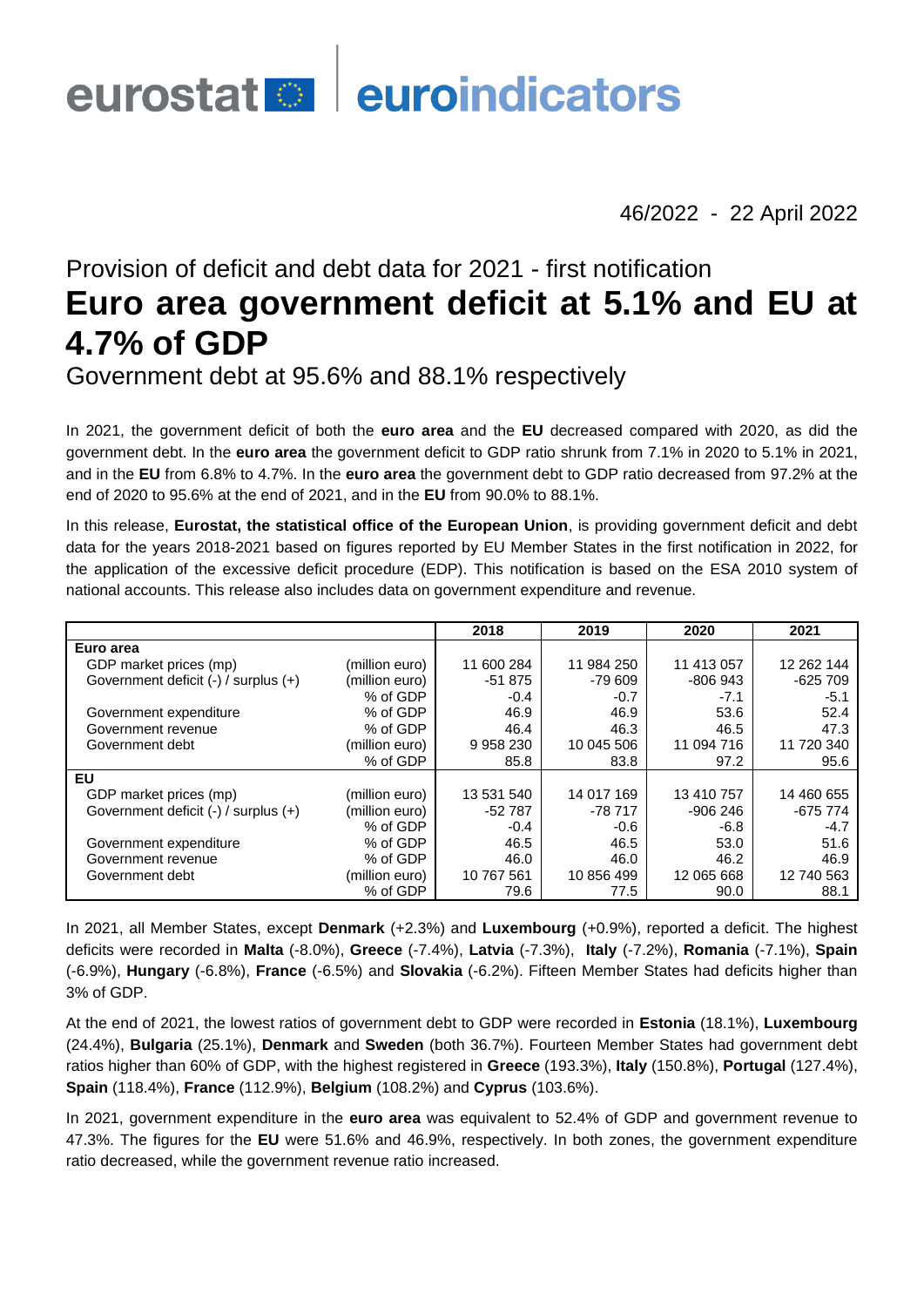# eurostat **en district** euroindicators

46/2022 - 22 April 2022

# Provision of deficit and debt data for 2021 - first notification **Euro area government deficit at 5.1% and EU at 4.7% of GDP**

Government debt at 95.6% and 88.1% respectively

In 2021, the government deficit of both the **euro area** and the **EU** decreased compared with 2020, as did the government debt. In the **euro area** the government deficit to GDP ratio shrunk from 7.1% in 2020 to 5.1% in 2021, and in the **EU** from 6.8% to 4.7%. In the **euro area** the government debt to GDP ratio decreased from 97.2% at the end of 2020 to 95.6% at the end of 2021, and in the **EU** from 90.0% to 88.1%.

In this release, **Eurostat, the statistical office of the European Union**, is providing government deficit and debt data for the years 2018-2021 based on figures reported by EU Member States in the first notification in 2022, for the application of the excessive deficit procedure (EDP). This notification is based on the ESA 2010 system of national accounts. This release also includes data on government expenditure and revenue.

|                                      |                | 2018       | 2019       | 2020       | 2021       |
|--------------------------------------|----------------|------------|------------|------------|------------|
| Euro area                            |                |            |            |            |            |
| GDP market prices (mp)               | (million euro) | 11 600 284 | 11 984 250 | 11 413 057 | 12 262 144 |
| Government deficit (-) / surplus (+) | (million euro) | $-51875$   | $-79609$   | $-806943$  | $-625709$  |
|                                      | % of GDP       | $-0.4$     | $-0.7$     | $-7.1$     | $-5.1$     |
| Government expenditure               | % of GDP       | 46.9       | 46.9       | 53.6       | 52.4       |
| Government revenue                   | % of GDP       | 46.4       | 46.3       | 46.5       | 47.3       |
| Government debt                      | (million euro) | 9958230    | 10 045 506 | 11 094 716 | 11 720 340 |
|                                      | % of GDP       | 85.8       | 83.8       | 97.2       | 95.6       |
| <b>EU</b>                            |                |            |            |            |            |
| GDP market prices (mp)               | (million euro) | 13 531 540 | 14 017 169 | 13 410 757 | 14 460 655 |
| Government deficit (-) / surplus (+) | (million euro) | $-52787$   | $-78717$   | $-906246$  | $-675774$  |
|                                      | % of GDP       | $-0.4$     | $-0.6$     | $-6.8$     | $-4.7$     |
| Government expenditure               | % of GDP       | 46.5       | 46.5       | 53.0       | 51.6       |
| Government revenue                   | % of GDP       | 46.0       | 46.0       | 46.2       | 46.9       |
| Government debt                      | (million euro) | 10 767 561 | 10 856 499 | 12 065 668 | 12 740 563 |
|                                      | % of GDP       | 79.6       | 77.5       | 90.0       | 88.1       |

In 2021, all Member States, except **Denmark** (+2.3%) and **Luxembourg** (+0.9%), reported a deficit. The highest deficits were recorded in **Malta** (-8.0%), **Greece** (-7.4%), **Latvia** (-7.3%), **Italy** (-7.2%), **Romania** (-7.1%), **Spain** (-6.9%), **Hungary** (-6.8%), **France** (-6.5%) and **Slovakia** (-6.2%). Fifteen Member States had deficits higher than 3% of GDP.

At the end of 2021, the lowest ratios of government debt to GDP were recorded in **Estonia** (18.1%), **Luxembourg** (24.4%), **Bulgaria** (25.1%), **Denmark** and **Sweden** (both 36.7%). Fourteen Member States had government debt ratios higher than 60% of GDP, with the highest registered in **Greece** (193.3%), **Italy** (150.8%), **Portugal** (127.4%), **Spain** (118.4%), **France** (112.9%), **Belgium** (108.2%) and **Cyprus** (103.6%).

In 2021, government expenditure in the **euro area** was equivalent to 52.4% of GDP and government revenue to 47.3%. The figures for the **EU** were 51.6% and 46.9%, respectively. In both zones, the government expenditure ratio decreased, while the government revenue ratio increased.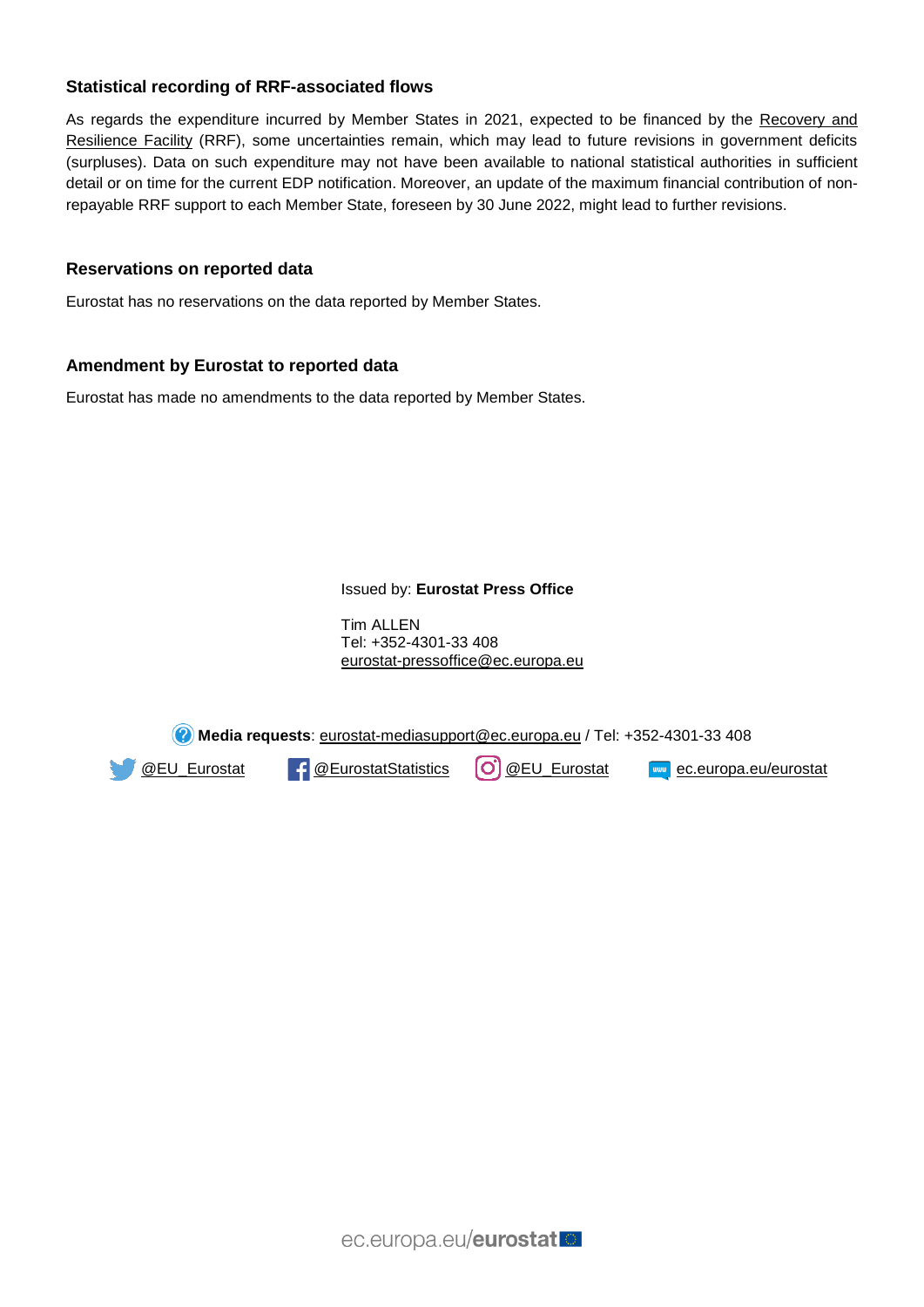### **Statistical recording of RRF-associated flows**

As regards the expenditure incurred by Member States in 2021, expected to be financed by the Recovery and [Resilience Facility](https://ec.europa.eu/info/business-economy-euro/recovery-coronavirus/recovery-and-resilience-facility_en) (RRF), some uncertainties remain, which may lead to future revisions in government deficits (surpluses). Data on such expenditure may not have been available to national statistical authorities in sufficient detail or on time for the current EDP notification. Moreover, an update of the maximum financial contribution of nonrepayable RRF support to each Member State, foreseen by 30 June 2022, might lead to further revisions.

#### **Reservations on reported data**

Eurostat has no reservations on the data reported by Member States.

#### **Amendment by Eurostat to reported data**

Eurostat has made no amendments to the data reported by Member States.

Issued by: **Eurostat Press Office**

Tim ALLEN Tel: +352-4301-33 408 [eurostat-pressoffice@ec.europa.eu](mailto:eurostat-pressoffice@ec.europa.eu)





<u>[@EU\\_Eurostat](https://twitter.com/EU_Eurostat) | CEurostatStatistics</u>  $\overline{O}$  <u>[@EU\\_Eurostat](https://www.instagram.com/eu_eurostat/) Eurostat [ec.europa.eu/eurostat](https://ec.europa.eu/eurostat)</u>

ec.europa.eu/eurostat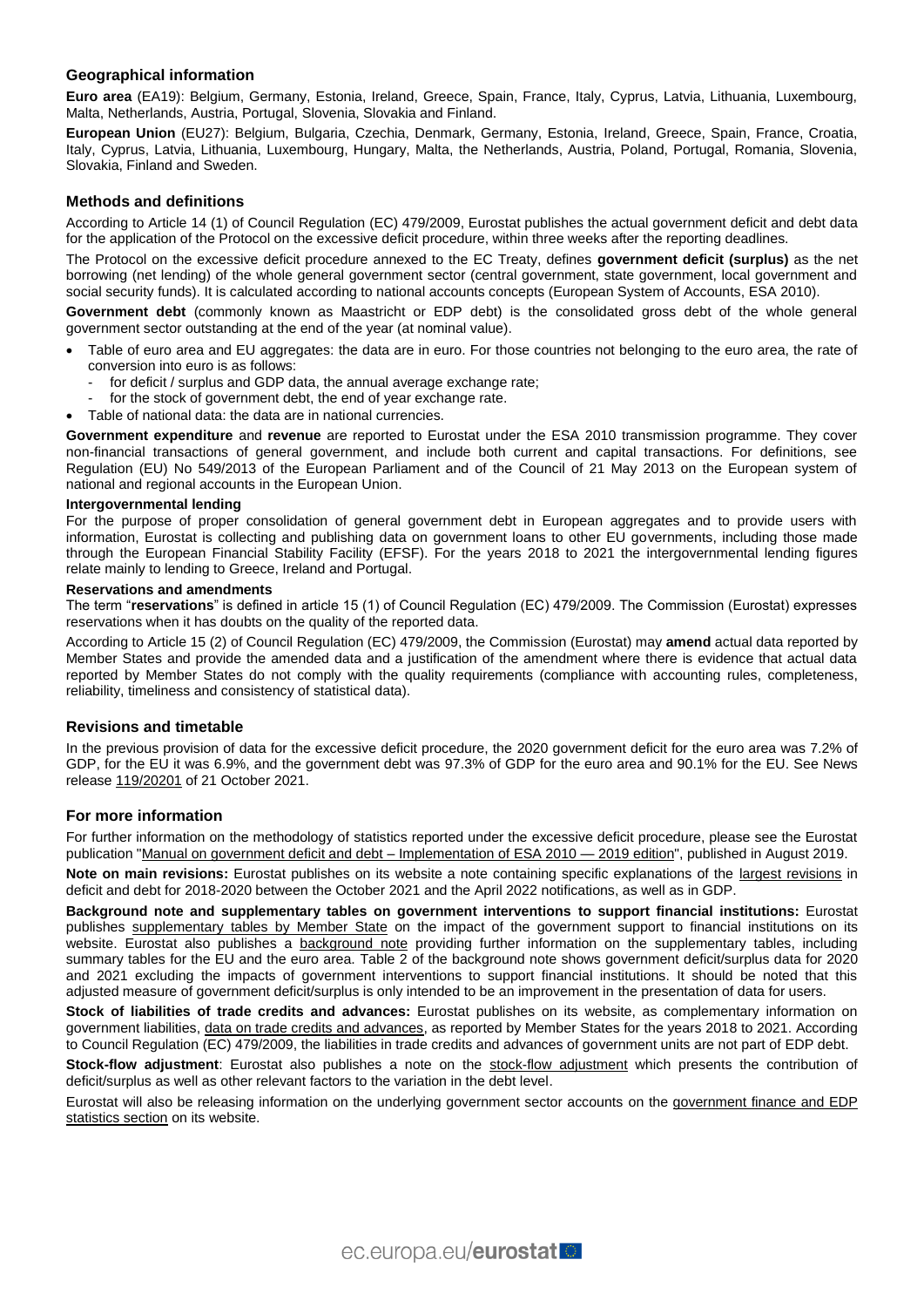#### **Geographical information**

**Euro area** (EA19): Belgium, Germany, Estonia, Ireland, Greece, Spain, France, Italy, Cyprus, Latvia, Lithuania, Luxembourg, Malta, Netherlands, Austria, Portugal, Slovenia, Slovakia and Finland.

**European Union** (EU27): Belgium, Bulgaria, Czechia, Denmark, Germany, Estonia, Ireland, Greece, Spain, France, Croatia, Italy, Cyprus, Latvia, Lithuania, Luxembourg, Hungary, Malta, the Netherlands, Austria, Poland, Portugal, Romania, Slovenia, Slovakia, Finland and Sweden.

#### **Methods and definitions**

According to Article 14 (1) of Council Regulation (EC) 479/2009, Eurostat publishes the actual government deficit and debt data for the application of the Protocol on the excessive deficit procedure, within three weeks after the reporting deadlines.

The Protocol on the excessive deficit procedure annexed to the EC Treaty, defines **government deficit (surplus)** as the net borrowing (net lending) of the whole general government sector (central government, state government, local government and social security funds). It is calculated according to national accounts concepts (European System of Accounts, ESA 2010).

**Government debt** (commonly known as Maastricht or EDP debt) is the consolidated gross debt of the whole general government sector outstanding at the end of the year (at nominal value).

- Table of euro area and EU aggregates: the data are in euro. For those countries not belonging to the euro area, the rate of conversion into euro is as follows:
	- for deficit / surplus and GDP data, the annual average exchange rate;
	- for the stock of government debt, the end of year exchange rate.
- Table of national data: the data are in national currencies.

**Government expenditure** and **revenue** are reported to Eurostat under the ESA 2010 transmission programme. They cover non-financial transactions of general government, and include both current and capital transactions. For definitions, see [Regulation \(EU\) No 549/2013 of the European Parliament and of the Council of 21 May 2013 on the European system of](http://eur-lex.europa.eu/legal-content/EN/TXT/?qid=1405675686774&uri=CELEX:32013R0549)  [national and regional accounts](http://eur-lex.europa.eu/legal-content/EN/TXT/?qid=1405675686774&uri=CELEX:32013R0549) in the European Union.

#### **Intergovernmental lending**

For the purpose of proper consolidation of general government debt in European aggregates and to provide users with information, Eurostat is collecting and publishing data on government loans to other EU governments, including those made through the European Financial Stability Facility (EFSF). For the years 2018 to 2021 the intergovernmental lending figures relate mainly to lending to Greece, Ireland and Portugal.

#### **Reservations and amendments**

The term "**reservations**" is defined in article 15 (1) of Council Regulation (EC) 479/2009. The Commission (Eurostat) expresses reservations when it has doubts on the quality of the reported data.

According to Article 15 (2) of Council Regulation (EC) 479/2009, the Commission (Eurostat) may **amend** actual data reported by Member States and provide the amended data and a justification of the amendment where there is evidence that actual data reported by Member States do not comply with the quality requirements (compliance with accounting rules, completeness, reliability, timeliness and consistency of statistical data).

#### **Revisions and timetable**

In the previous provision of data for the excessive deficit procedure, the 2020 government deficit for the euro area was 7.2% of GDP, for the EU it was 6.9%, and the government debt was 97.3% of GDP for the euro area and 90.1% for the EU. See News releas[e 119/20201](https://ec.europa.eu/eurostat/documents/2995521/11563331/2-21102021-AP-EN.pdf/257365fa-8a66-cab8-f60c-06ca9c916a7a) of 21 October 2021.

#### **For more information**

For further information on the methodology of statistics reported under the excessive deficit procedure, please see the Eurostat publication ["Manual on government deficit and debt –](https://ec.europa.eu/eurostat/web/products-manuals-and-guidelines/product/-/asset_publisher/Wq1sJK3yM5fP/content/KS-GQ-19-007?inheritRedirect=false&redirect=https%3A%2F%2Fec.europa.eu%2Feurostat%2Fweb%2Fproducts-manuals-and-guidelines%2Fproduct%3Fp_p_id%3D101_INSTANCE_Wq1sJK3yM5fP%26p_p_lifecycle%3D0%26p_p_state%3Dnormal%26p_p_mode%3Dview%26p_p_col_id%3Dcolumn-1%26p_p_col_count%3D1) Implementation of ESA 2010 — 2019 edition", published in August 2019.

**Note on main revisions:** Eurostat publishes on its website a note containing specific explanations of the [largest revisions](https://ec.europa.eu/eurostat/documents/1015035/14557464/Note-on-main-revisions-Apr-2022.pdf/351274a1-dd1d-ec61-6db6-b2585f5b73bc?t=1650284678764) in deficit and debt for 2018-2020 between the October 2021 and the April 2022 notifications, as well as in GDP.

**Background note and supplementary tables on government interventions to support financial institutions:** Eurostat publishes [supplementary tables by Member State](https://ec.europa.eu/eurostat/web/government-finance-statistics/excessive-deficit/supplemtary-tables-financial-crisis) on the impact of the government support to financial institutions on its website. Eurostat also publishes a [background note](https://ec.europa.eu/eurostat/documents/1015035/14557464/Background-note-on-gov-interventions-Apr-2022.pdf/60e0a7d3-cd0a-d57c-4a2a-09bbfa72a1e9?t=1650284676675) providing further information on the supplementary tables, including summary tables for the EU and the euro area. Table 2 of the background note shows government deficit/surplus data for 2020 and 2021 excluding the impacts of government interventions to support financial institutions. It should be noted that this adjusted measure of government deficit/surplus is only intended to be an improvement in the presentation of data for users.

**Stock of liabilities of trade credits and advances:** Eurostat publishes on its website, as complementary information on government liabilities, [data on trade credits and advances,](https://ec.europa.eu/eurostat/documents/1015035/14557464/Note-on-AF.81L-Apr-2022.pdf/550d449a-f63d-0485-5fc0-fd36409822f8?t=1650284678457) as reported by Member States for the years 2018 to 2021. According to Council Regulation (EC) 479/2009, the liabilities in trade credits and advances of government units are not part of EDP debt.

**Stock-flow adjustment**: Eurostat also publishes a note on the stock-flow [adjustment](https://ec.europa.eu/eurostat/documents/1015035/14557464/SFA-PR-2022-Apr.pdf/696b8f7e-8765-4fb6-658c-ab88cb47fb20?t=1650284679343) which presents the contribution of deficit/surplus as well as other relevant factors to the variation in the debt level.

Eurostat will also be releasing information on the underlying government sector accounts on the [government finance and EDP](https://ec.europa.eu/eurostat/web/government-finance-statistics)  [statistics section](https://ec.europa.eu/eurostat/web/government-finance-statistics) on its website.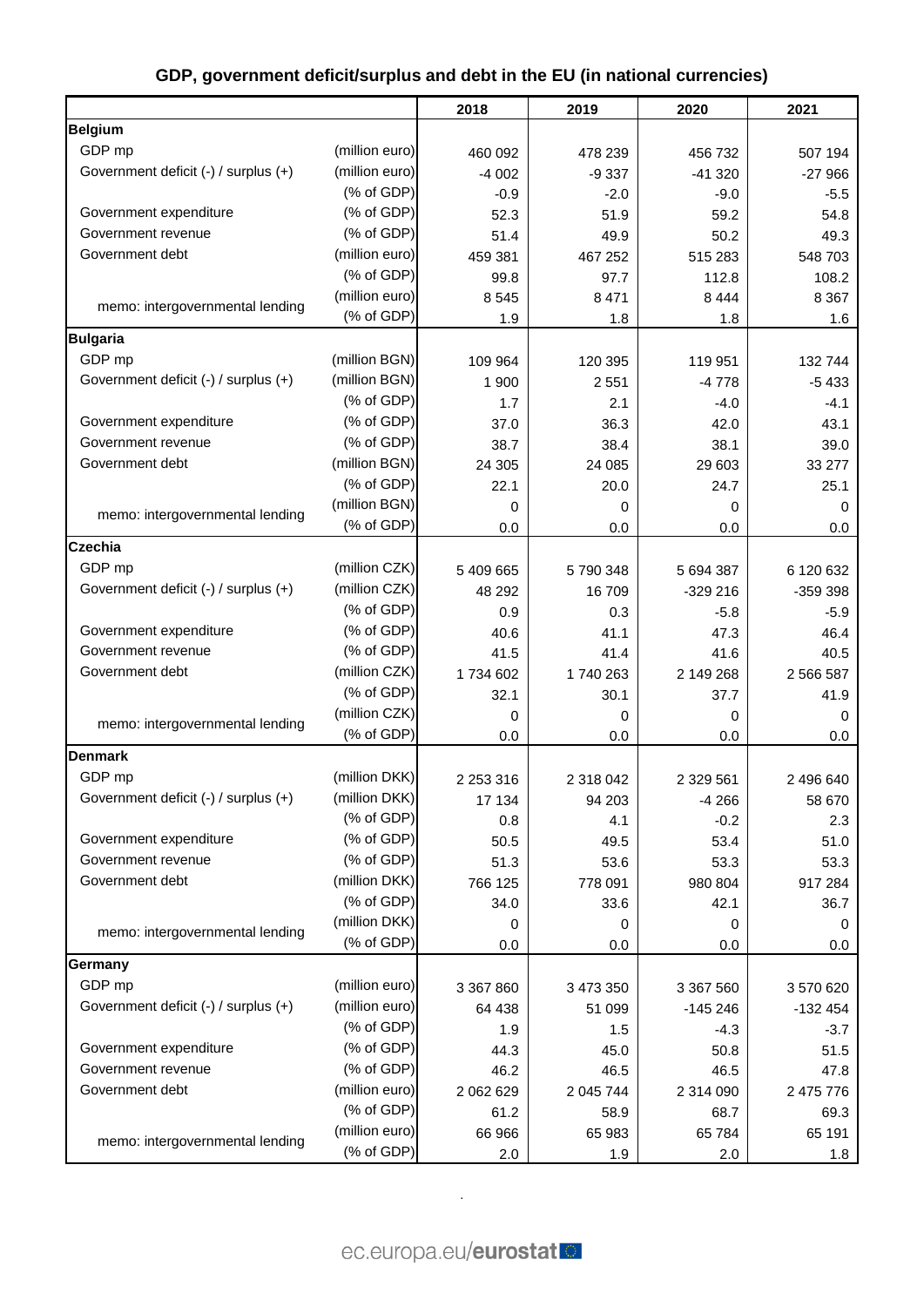| GDP, government deficit/surplus and debt in the EU (in national currencies) |  |  |
|-----------------------------------------------------------------------------|--|--|
|                                                                             |  |  |

|                                      |                | 2018          | 2019      | 2020        | 2021      |
|--------------------------------------|----------------|---------------|-----------|-------------|-----------|
| <b>Belgium</b>                       |                |               |           |             |           |
| GDP mp                               | (million euro) | 460 092       | 478 239   | 456 732     | 507 194   |
| Government deficit (-) / surplus (+) | (million euro) | $-4002$       | $-9337$   | $-41320$    | $-27966$  |
|                                      | (% of GDP)     | $-0.9$        | $-2.0$    | $-9.0$      | $-5.5$    |
| Government expenditure               | (% of GDP)     | 52.3          | 51.9      | 59.2        | 54.8      |
| Government revenue                   | (% of GDP)     | 51.4          | 49.9      | 50.2        | 49.3      |
| Government debt                      | (million euro) | 459 381       | 467 252   | 515 283     | 548 703   |
|                                      | (% of GDP)     | 99.8          | 97.7      | 112.8       | 108.2     |
|                                      | (million euro) | 8 5 4 5       | 8 4 7 1   | 8 4 4 4     | 8 3 6 7   |
| memo: intergovernmental lending      | (% of GDP)     | 1.9           | 1.8       | 1.8         | 1.6       |
| <b>Bulgaria</b>                      |                |               |           |             |           |
| GDP mp                               | (million BGN)  | 109 964       | 120 395   | 119 951     | 132 744   |
| Government deficit (-) / surplus (+) | (million BGN)  | 1 900         | 2 5 5 1   | $-4778$     | $-5433$   |
|                                      | (% of GDP)     | 1.7           | 2.1       | $-4.0$      | $-4.1$    |
| Government expenditure               | (% of GDP)     | 37.0          | 36.3      | 42.0        | 43.1      |
| Government revenue                   | (% of GDP)     | 38.7          | 38.4      | 38.1        | 39.0      |
| Government debt                      | (million BGN)  | 24 30 5       | 24 085    | 29 603      | 33 277    |
|                                      | (% of GDP)     | 22.1          | 20.0      | 24.7        | 25.1      |
| memo: intergovernmental lending      | (million BGN)  | 0             | 0         | 0           | 0         |
|                                      | (% of GDP)     | 0.0           | 0.0       | 0.0         | 0.0       |
| <b>Czechia</b>                       |                |               |           |             |           |
| GDP mp                               | (million CZK)  | 5 409 665     | 5790348   | 5 694 387   | 6 120 632 |
| Government deficit (-) / surplus (+) | (million CZK)  | 48 29 2       | 16 709    | $-329216$   | -359 398  |
|                                      | (% of GDP)     | 0.9           | 0.3       | $-5.8$      | $-5.9$    |
| Government expenditure               | (% of GDP)     | 40.6          | 41.1      | 47.3        | 46.4      |
| Government revenue                   | (% of GDP)     | 41.5          | 41.4      | 41.6        | 40.5      |
| Government debt                      | (million CZK)  | 1734 602      | 1740 263  | 2 149 268   | 2 566 587 |
|                                      | (% of GDP)     | 32.1          | 30.1      | 37.7        | 41.9      |
| memo: intergovernmental lending      | (million CZK)  | 0             | 0         | 0           | 0         |
|                                      | (% of GDP)     | 0.0           | 0.0       | 0.0         | 0.0       |
| <b>Denmark</b>                       |                |               |           |             |           |
| GDP mp                               | (million DKK)  | 2 2 5 3 3 1 6 | 2 318 042 | 2 3 2 5 6 1 | 2 496 640 |
| Government deficit (-) / surplus (+) | (million DKK)  | 17 134        | 94 203    | $-4266$     | 58 670    |
|                                      | (% of GDP)     | 0.8           | 4.1       | $-0.2$      | 2.3       |
| Government expenditure               | (% of GDP)     | 50.5          | 49.5      | 53.4        | 51.0      |
| Government revenue                   | (% of GDP)     | 51.3          | 53.6      | 53.3        | 53.3      |
| Government debt                      | (million DKK)  | 766 125       | 778 091   | 980 804     | 917 284   |
|                                      | (% of GDP)     | 34.0          | 33.6      | 42.1        | 36.7      |
| memo: intergovernmental lending      | (million DKK)  | 0             | 0         | 0           | 0         |
|                                      | (% of GDP)     | 0.0           | 0.0       | 0.0         | 0.0       |
| Germany                              |                |               |           |             |           |
| GDP mp                               | (million euro) | 3 367 860     | 3 473 350 | 3 367 560   | 3 570 620 |
| Government deficit (-) / surplus (+) | (million euro) | 64 438        | 51 099    | $-145246$   | $-132454$ |
|                                      | (% of GDP)     | 1.9           | 1.5       | $-4.3$      | $-3.7$    |
| Government expenditure               | (% of GDP)     | 44.3          | 45.0      | 50.8        | 51.5      |
| Government revenue                   | (% of GDP)     | 46.2          | 46.5      | 46.5        | 47.8      |
| Government debt                      | (million euro) | 2 062 629     | 2 045 744 | 2 314 090   | 2 475 776 |
|                                      | (% of GDP)     | 61.2          | 58.9      | 68.7        | 69.3      |
| memo: intergovernmental lending      | (million euro) | 66 966        | 65 983    | 65 784      | 65 191    |
|                                      | (% of GDP)     | 2.0           | 1.9       | 2.0         | 1.8       |

 $\mathcal{L}^{\mathcal{L}}(\mathcal{L}^{\mathcal{L}})$  and  $\mathcal{L}^{\mathcal{L}}(\mathcal{L}^{\mathcal{L}})$  and  $\mathcal{L}^{\mathcal{L}}(\mathcal{L}^{\mathcal{L}})$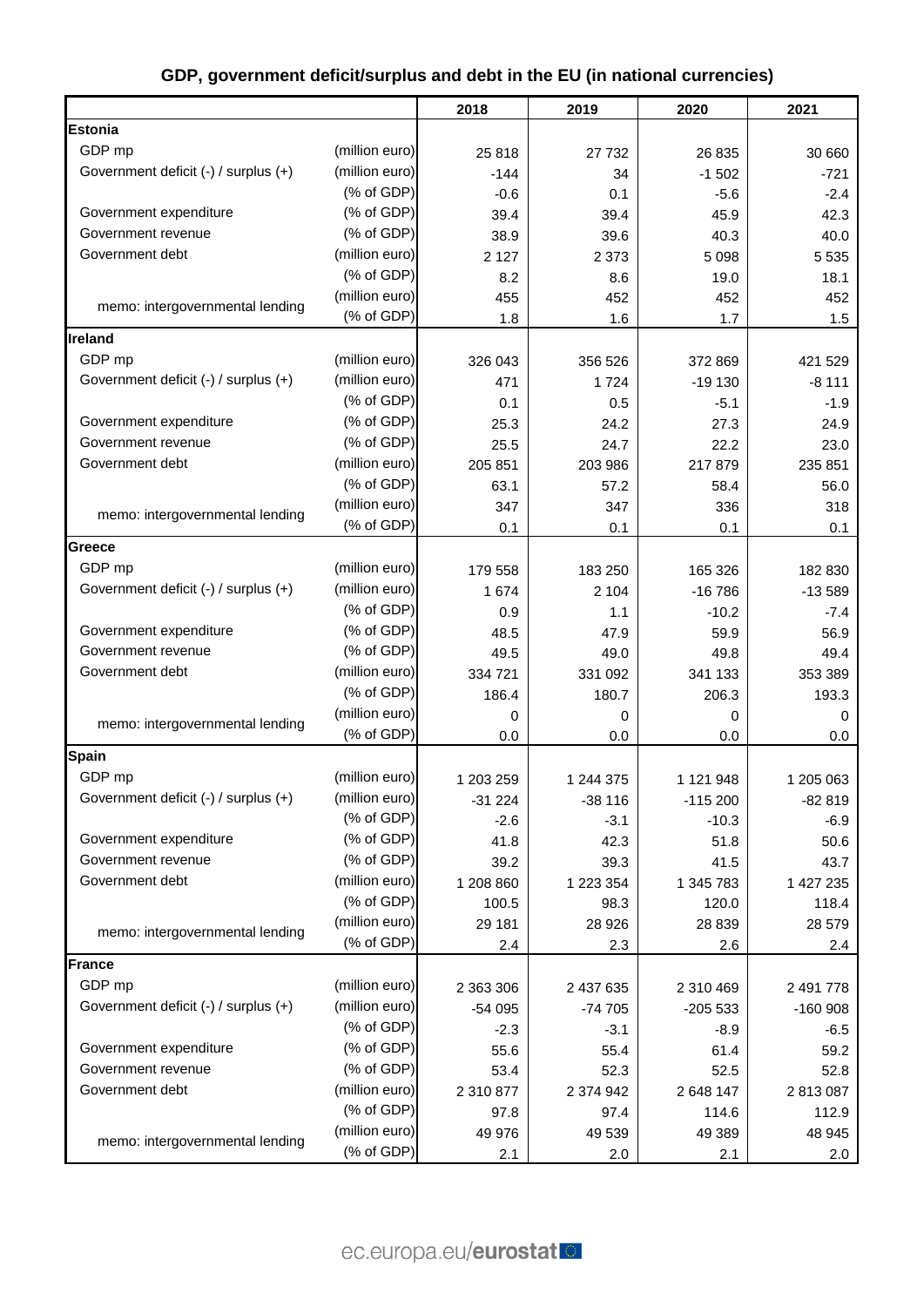|                                      |                | 2018      | 2019      | 2020      | 2021      |
|--------------------------------------|----------------|-----------|-----------|-----------|-----------|
| <b>Estonia</b>                       |                |           |           |           |           |
| GDP mp                               | (million euro) | 25 818    | 27 732    | 26 835    | 30 660    |
| Government deficit (-) / surplus (+) | (million euro) | $-144$    | 34        | $-1502$   | $-721$    |
|                                      | (% of GDP)     | $-0.6$    | 0.1       | $-5.6$    | $-2.4$    |
| Government expenditure               | (% of GDP)     | 39.4      | 39.4      | 45.9      | 42.3      |
| Government revenue                   | (% of GDP)     | 38.9      | 39.6      | 40.3      | 40.0      |
| Government debt                      | (million euro) | 2 1 2 7   | 2 3 7 3   | 5 0 9 8   | 5 5 3 5   |
|                                      | (% of GDP)     | 8.2       | 8.6       | 19.0      | 18.1      |
|                                      | (million euro) | 455       | 452       | 452       | 452       |
| memo: intergovernmental lending      | (% of GDP)     | 1.8       | 1.6       | 1.7       | 1.5       |
| <b>Ireland</b>                       |                |           |           |           |           |
| GDP mp                               | (million euro) | 326 043   | 356 526   | 372 869   | 421 529   |
| Government deficit (-) / surplus (+) | (million euro) | 471       | 1 7 2 4   | $-19130$  | $-8111$   |
|                                      | (% of GDP)     | 0.1       | 0.5       | $-5.1$    | $-1.9$    |
| Government expenditure               | (% of GDP)     | 25.3      | 24.2      | 27.3      | 24.9      |
| Government revenue                   | (% of GDP)     | 25.5      | 24.7      | 22.2      | 23.0      |
| Government debt                      | (million euro) | 205 851   | 203 986   | 217879    | 235 851   |
|                                      | (% of GDP)     | 63.1      | 57.2      | 58.4      | 56.0      |
|                                      | (million euro) | 347       | 347       | 336       | 318       |
| memo: intergovernmental lending      | (% of GDP)     | 0.1       | 0.1       | 0.1       | 0.1       |
| <b>Greece</b>                        |                |           |           |           |           |
| GDP mp                               | (million euro) | 179 558   | 183 250   | 165 326   | 182 830   |
| Government deficit (-) / surplus (+) | (million euro) | 1674      | 2 104     | $-16786$  | $-13589$  |
|                                      | (% of GDP)     | 0.9       | 1.1       | $-10.2$   | $-7.4$    |
| Government expenditure               | (% of GDP)     | 48.5      | 47.9      | 59.9      | 56.9      |
| Government revenue                   | (% of GDP)     | 49.5      | 49.0      | 49.8      | 49.4      |
| Government debt                      | (million euro) | 334 721   | 331 092   | 341 133   | 353 389   |
|                                      | (% of GDP)     | 186.4     | 180.7     | 206.3     | 193.3     |
| memo: intergovernmental lending      | (million euro) | 0         | 0         | 0         | 0         |
|                                      | (% of GDP)     | 0.0       | 0.0       | 0.0       | 0.0       |
| <b>Spain</b>                         |                |           |           |           |           |
| GDP mp                               | (million euro) | 1 203 259 | 1 244 375 | 1 121 948 | 1 205 063 |
| Government deficit (-) / surplus (+) | (million euro) | $-31224$  | $-38116$  | $-115200$ | $-82819$  |
|                                      | (% of GDP)     | $-2.6$    | $-3.1$    | $-10.3$   | $-6.9$    |
| Government expenditure               | (% of GDP)     | 41.8      | 42.3      | 51.8      | 50.6      |
| Government revenue                   | (% of GDP)     | 39.2      | 39.3      | 41.5      | 43.7      |
| Government debt                      | (million euro) | 1 208 860 | 1 223 354 | 1 345 783 | 1 427 235 |
|                                      | (% of GDP)     | 100.5     | 98.3      | 120.0     | 118.4     |
| memo: intergovernmental lending      | (million euro) | 29 181    | 28 9 26   | 28 8 39   | 28 579    |
|                                      | (% of GDP)     | 2.4       | 2.3       | 2.6       | 2.4       |
| <b>France</b>                        |                |           |           |           |           |
| GDP mp                               | (million euro) | 2 363 306 | 2 437 635 | 2 310 469 | 2 491 778 |
| Government deficit (-) / surplus (+) | (million euro) | -54 095   | $-74705$  | $-205533$ | $-160908$ |
|                                      | (% of GDP)     | $-2.3$    | $-3.1$    | $-8.9$    | $-6.5$    |
| Government expenditure               | (% of GDP)     | 55.6      | 55.4      | 61.4      | 59.2      |
| Government revenue                   | (% of GDP)     | 53.4      | 52.3      | 52.5      | 52.8      |
| Government debt                      | (million euro) | 2 310 877 | 2 374 942 | 2 648 147 | 2 813 087 |
|                                      | (% of GDP)     | 97.8      | 97.4      | 114.6     | 112.9     |
| memo: intergovernmental lending      | (million euro) | 49 976    | 49 539    | 49 389    | 48 945    |
|                                      | (% of GDP)     | 2.1       | 2.0       | 2.1       | 2.0       |

# **GDP, government deficit/surplus and debt in the EU (in national currencies)**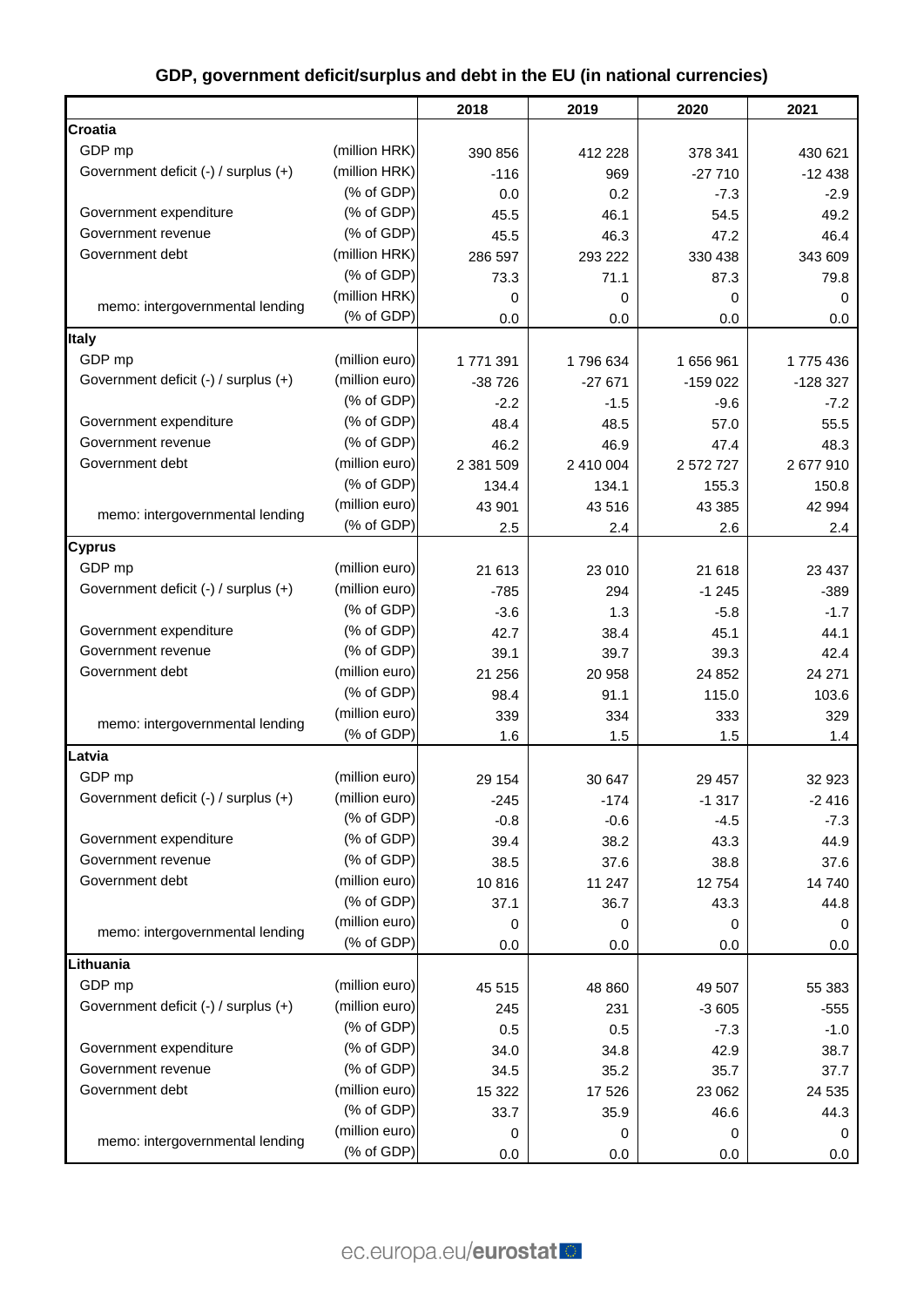|  | GDP, government deficit/surplus and debt in the EU (in national currencies) |  |  |
|--|-----------------------------------------------------------------------------|--|--|
|  |                                                                             |  |  |

|                                      |                | 2018      | 2019      | 2020      | 2021      |
|--------------------------------------|----------------|-----------|-----------|-----------|-----------|
| Croatia                              |                |           |           |           |           |
| GDP mp                               | (million HRK)  | 390 856   | 412 228   | 378 341   | 430 621   |
| Government deficit (-) / surplus (+) | (million HRK)  | $-116$    | 969       | $-27710$  | $-12438$  |
|                                      | (% of GDP)     | 0.0       | 0.2       | $-7.3$    | $-2.9$    |
| Government expenditure               | (% of GDP)     | 45.5      | 46.1      | 54.5      | 49.2      |
| Government revenue                   | (% of GDP)     | 45.5      | 46.3      | 47.2      | 46.4      |
| Government debt                      | (million HRK)  | 286 597   | 293 222   | 330 438   | 343 609   |
|                                      | (% of GDP)     | 73.3      | 71.1      | 87.3      | 79.8      |
|                                      | (million HRK)  | 0         | 0         | 0         | 0         |
| memo: intergovernmental lending      | (% of GDP)     | 0.0       | 0.0       | 0.0       | 0.0       |
| Italy                                |                |           |           |           |           |
| GDP mp                               | (million euro) | 1 771 391 | 1796634   | 1 656 961 | 1775436   |
| Government deficit (-) / surplus (+) | (million euro) | $-38726$  | $-27671$  | $-159022$ | $-128327$ |
|                                      | (% of GDP)     | $-2.2$    | $-1.5$    | $-9.6$    | $-7.2$    |
| Government expenditure               | (% of GDP)     | 48.4      | 48.5      | 57.0      | 55.5      |
| Government revenue                   | (% of GDP)     | 46.2      | 46.9      | 47.4      | 48.3      |
| Government debt                      | (million euro) | 2 381 509 | 2 410 004 | 2 572 727 | 2 677 910 |
|                                      | (% of GDP)     | 134.4     | 134.1     | 155.3     | 150.8     |
|                                      | (million euro) | 43 901    | 43 516    | 43 385    | 42 994    |
| memo: intergovernmental lending      | (% of GDP)     | 2.5       | 2.4       | 2.6       | 2.4       |
| <b>Cyprus</b>                        |                |           |           |           |           |
| GDP mp                               | (million euro) | 21 613    | 23 010    | 21 618    | 23 4 37   |
| Government deficit (-) / surplus (+) | (million euro) | $-785$    | 294       | $-1245$   | $-389$    |
|                                      | (% of GDP)     | $-3.6$    | 1.3       | $-5.8$    | $-1.7$    |
| Government expenditure               | (% of GDP)     | 42.7      | 38.4      | 45.1      | 44.1      |
| Government revenue                   | (% of GDP)     | 39.1      | 39.7      | 39.3      | 42.4      |
| Government debt                      | (million euro) | 21 25 6   | 20 958    | 24 852    | 24 271    |
|                                      | (% of GDP)     | 98.4      | 91.1      | 115.0     | 103.6     |
|                                      | (million euro) | 339       | 334       | 333       | 329       |
| memo: intergovernmental lending      | (% of GDP)     | 1.6       | 1.5       | 1.5       | 1.4       |
| Latvia                               |                |           |           |           |           |
| GDP mp                               | (million euro) | 29 154    | 30 647    | 29 457    | 32 923    |
| Government deficit (-) / surplus (+) | (million euro) | $-245$    | $-174$    | $-1317$   | $-2416$   |
|                                      | (% of GDP)     | $-0.8$    | $-0.6$    | $-4.5$    | $-7.3$    |
| Government expenditure               | (% of GDP)     | 39.4      | 38.2      | 43.3      | 44.9      |
| Government revenue                   | (% of GDP)     | 38.5      | 37.6      | 38.8      | 37.6      |
| Government debt                      | (million euro) | 10816     | 11 247    | 12754     | 14740     |
|                                      | (% of GDP)     | 37.1      | 36.7      | 43.3      | 44.8      |
|                                      | (million euro) | 0         | 0         | 0         | 0         |
| memo: intergovernmental lending      | (% of GDP)     | 0.0       | 0.0       | 0.0       | 0.0       |
| Lithuania                            |                |           |           |           |           |
| GDP mp                               | (million euro) | 45 515    | 48 860    | 49 507    | 55 383    |
| Government deficit (-) / surplus (+) | (million euro) | 245       | 231       | $-3605$   | $-555$    |
|                                      | (% of GDP)     | 0.5       | 0.5       | $-7.3$    | $-1.0$    |
| Government expenditure               | (% of GDP)     | 34.0      | 34.8      | 42.9      | 38.7      |
| Government revenue                   | (% of GDP)     | 34.5      | 35.2      | 35.7      | 37.7      |
| Government debt                      | (million euro) | 15 3 22   | 17 526    | 23 062    | 24 5 35   |
|                                      | (% of GDP)     | 33.7      | 35.9      | 46.6      | 44.3      |
|                                      | (million euro) | 0         | 0         | 0         | 0         |
| memo: intergovernmental lending      | (% of GDP)     | 0.0       | 0.0       | 0.0       | 0.0       |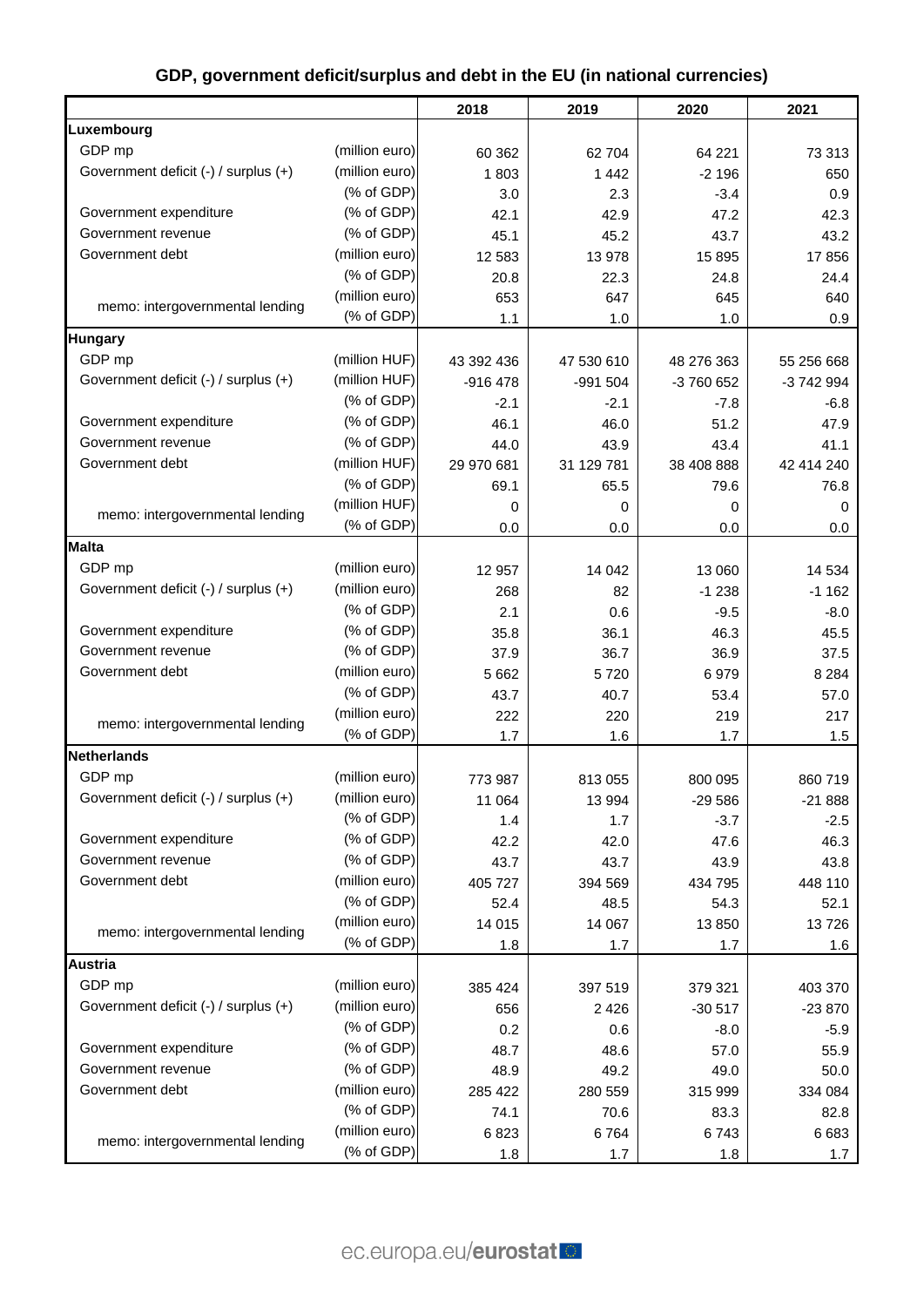|                                      |                              | 2018       | 2019       | 2020       | 2021       |
|--------------------------------------|------------------------------|------------|------------|------------|------------|
| Luxembourg                           |                              |            |            |            |            |
| GDP mp                               | (million euro)               | 60 362     | 62 704     | 64 221     | 73 313     |
| Government deficit (-) / surplus (+) | (million euro)               | 1803       | 1 4 4 2    | $-2196$    | 650        |
|                                      | (% of GDP)                   | 3.0        | 2.3        | $-3.4$     | 0.9        |
| Government expenditure               | (% of GDP)                   | 42.1       | 42.9       | 47.2       | 42.3       |
| Government revenue                   | (% of GDP)                   | 45.1       | 45.2       | 43.7       | 43.2       |
| Government debt                      | (million euro)               | 12 583     | 13 978     | 15 8 95    | 17856      |
|                                      | (% of GDP)                   | 20.8       | 22.3       | 24.8       | 24.4       |
|                                      | (million euro)               | 653        | 647        | 645        | 640        |
| memo: intergovernmental lending      | (% of GDP)                   | 1.1        | 1.0        | 1.0        | 0.9        |
| <b>Hungary</b>                       |                              |            |            |            |            |
| GDP mp                               | (million HUF)                | 43 392 436 | 47 530 610 | 48 276 363 | 55 256 668 |
| Government deficit (-) / surplus (+) | (million HUF)                | $-916478$  | $-991504$  | -3 760 652 | -3 742 994 |
|                                      | (% of GDP)                   | $-2.1$     | $-2.1$     | $-7.8$     | $-6.8$     |
| Government expenditure               | (% of GDP)                   | 46.1       | 46.0       | 51.2       | 47.9       |
| Government revenue                   | (% of GDP)                   | 44.0       | 43.9       | 43.4       | 41.1       |
| Government debt                      | (million HUF)                | 29 970 681 | 31 129 781 | 38 408 888 | 42 414 240 |
|                                      | (% of GDP)                   | 69.1       | 65.5       | 79.6       | 76.8       |
| memo: intergovernmental lending      | (million HUF)                | 0          | 0          | 0          | $\Omega$   |
|                                      | (% of GDP)                   | 0.0        | 0.0        | 0.0        | 0.0        |
| <b>Malta</b>                         |                              |            |            |            |            |
| GDP mp                               | (million euro)               | 12 957     | 14 042     | 13 060     | 14 5 34    |
| Government deficit (-) / surplus (+) | (million euro)               | 268        | 82         | $-1238$    | $-1162$    |
|                                      | (% of GDP)                   | 2.1        | 0.6        | $-9.5$     | $-8.0$     |
| Government expenditure               | (% of GDP)                   | 35.8       | 36.1       | 46.3       | 45.5       |
| Government revenue                   | (% of GDP)                   | 37.9       | 36.7       | 36.9       | 37.5       |
| Government debt                      | (million euro)               | 5 6 6 2    | 5720       | 6979       | 8 2 8 4    |
|                                      | (% of GDP)                   | 43.7       | 40.7       | 53.4       | 57.0       |
| memo: intergovernmental lending      | (million euro)               | 222        | 220        | 219        | 217        |
|                                      | (% of GDP)                   | 1.7        | 1.6        | 1.7        | 1.5        |
| <b>Netherlands</b>                   |                              |            |            |            |            |
| GDP mp                               | (million euro)               | 773 987    | 813 055    | 800 095    | 860 719    |
| Government deficit (-) / surplus (+) | (million euro)               | 11 064     | 13 994     | $-29586$   | $-21888$   |
|                                      | (% of GDP)                   | 1.4        | 1.7        | $-3.7$     | $-2.5$     |
| Government expenditure               | (% of GDP)                   | 42.2       | 42.0       | 47.6       | 46.3       |
| Government revenue                   | (% of GDP)                   | 43.7       | 43.7       | 43.9       | 43.8       |
| Government debt                      | (million euro)               | 405 727    | 394 569    | 434 795    | 448 110    |
|                                      | (% of GDP)                   | 52.4       | 48.5       | 54.3       | 52.1       |
| memo: intergovernmental lending      | (million euro)               | 14 015     | 14 067     | 13 850     | 13726      |
|                                      | (% of GDP)                   | 1.8        | 1.7        | 1.7        | 1.6        |
| <b>Austria</b>                       |                              |            |            |            |            |
| GDP mp                               | (million euro)               | 385 424    | 397 519    | 379 321    | 403 370    |
| Government deficit (-) / surplus (+) | (million euro)               | 656        | 2 4 2 6    | $-30517$   | $-23870$   |
|                                      | (% of GDP)                   | 0.2        | 0.6        | $-8.0$     | $-5.9$     |
| Government expenditure               | (% of GDP)                   | 48.7       | 48.6       | 57.0       | 55.9       |
| Government revenue                   | (% of GDP)                   | 48.9       | 49.2       | 49.0       | 50.0       |
| Government debt                      | (million euro)               | 285 422    | 280 559    | 315 999    | 334 084    |
|                                      | (% of GDP)                   | 74.1       | 70.6       | 83.3       | 82.8       |
| memo: intergovernmental lending      | (million euro)<br>(% of GDP) | 6823       | 6764       | 6743       | 6683       |
|                                      |                              | 1.8        | 1.7        | 1.8        | 1.7        |

# **GDP, government deficit/surplus and debt in the EU (in national currencies)**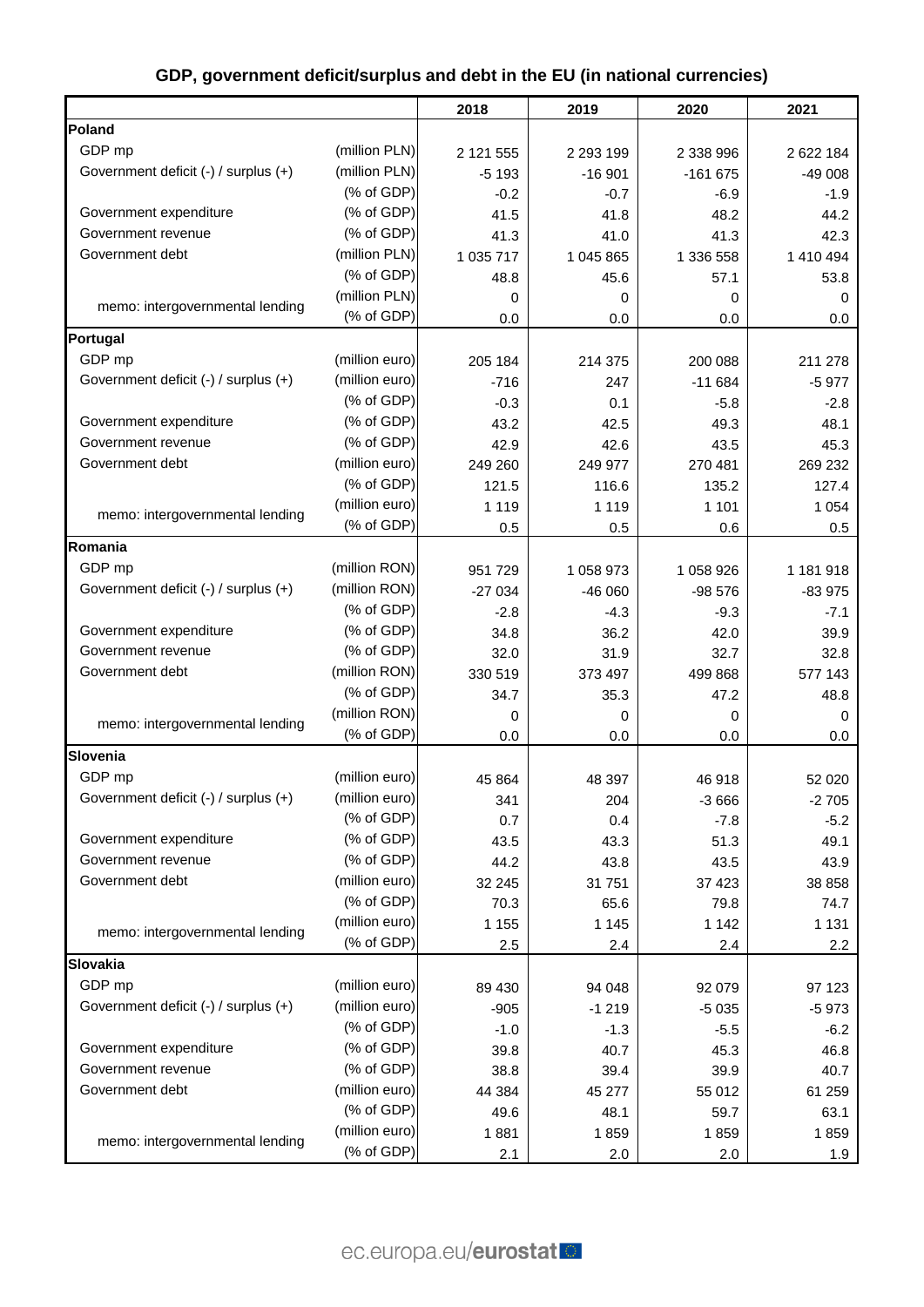| GDP, government deficit/surplus and debt in the EU (in national currencies) |
|-----------------------------------------------------------------------------|
|-----------------------------------------------------------------------------|

|                                              |                                                | 2018           | 2019          | 2020           | 2021      |
|----------------------------------------------|------------------------------------------------|----------------|---------------|----------------|-----------|
| Poland                                       |                                                |                |               |                |           |
| GDP mp                                       | (million PLN)                                  | 2 121 555      | 2 2 9 3 1 9 9 | 2 338 996      | 2 622 184 |
| Government deficit (-) / surplus (+)         | (million PLN)                                  | $-5193$        | $-16901$      | $-161675$      | $-49008$  |
|                                              | $(% \mathcal{L}_{0})$ (% of GDP)               |                |               |                |           |
| Government expenditure                       | $(% \mathcal{L}_{0})$ (% of GDP)               | $-0.2$<br>41.5 | $-0.7$        | $-6.9$<br>48.2 | $-1.9$    |
| Government revenue                           | (% of GDP)                                     |                | 41.8          |                | 44.2      |
| Government debt                              | (million PLN)                                  | 41.3           | 41.0          | 41.3           | 42.3      |
|                                              | (% of GDP)                                     | 1 035 717      | 1 045 865     | 1 336 558      | 1 410 494 |
|                                              | (million PLN)                                  | 48.8           | 45.6          | 57.1           | 53.8      |
| memo: intergovernmental lending              | (% of GDP)                                     | 0              | 0             | 0              | 0         |
| Portugal                                     |                                                | 0.0            | 0.0           | 0.0            | 0.0       |
| GDP mp                                       | (million euro)                                 |                |               |                |           |
|                                              | (million euro)                                 | 205 184        | 214 375       | 200 088        | 211 278   |
| Government deficit (-) / surplus (+)         |                                                | $-716$         | 247           | $-11684$       | $-5977$   |
|                                              | $(% \mathcal{L}_{0})$ (% of GDP)<br>(% of GDP) | $-0.3$         | 0.1           | $-5.8$         | $-2.8$    |
| Government expenditure<br>Government revenue |                                                | 43.2           | 42.5          | 49.3           | 48.1      |
| Government debt                              | (% of GDP)                                     | 42.9           | 42.6          | 43.5           | 45.3      |
|                                              | (million euro)                                 | 249 260        | 249 977       | 270 481        | 269 232   |
|                                              | (% of GDP)                                     | 121.5          | 116.6         | 135.2          | 127.4     |
| memo: intergovernmental lending              | (million euro)                                 | 1 1 1 9        | 1 1 1 9       | 1 1 0 1        | 1 0 5 4   |
|                                              | (% of GDP)                                     | 0.5            | 0.5           | 0.6            | 0.5       |
| Romania                                      |                                                |                |               |                |           |
| GDP mp                                       | (million RON)                                  | 951 729        | 1 058 973     | 1 058 926      | 1 181 918 |
| Government deficit (-) / surplus (+)         | (million RON)                                  | $-27034$       | $-46060$      | -98 576        | $-83975$  |
|                                              | (% of GDP)                                     | $-2.8$         | $-4.3$        | $-9.3$         | $-7.1$    |
| Government expenditure                       | (% of GDP)                                     | 34.8           | 36.2          | 42.0           | 39.9      |
| Government revenue                           | (% of GDP)                                     | 32.0           | 31.9          | 32.7           | 32.8      |
| Government debt                              | (million RON)                                  | 330 519        | 373 497       | 499 868        | 577 143   |
|                                              | (% of GDP)                                     | 34.7           | 35.3          | 47.2           | 48.8      |
| memo: intergovernmental lending              | (million RON)                                  | 0              | 0             | 0              | 0         |
|                                              | (% of GDP)                                     | 0.0            | 0.0           | 0.0            | 0.0       |
| Slovenia                                     |                                                |                |               |                |           |
| GDP mp                                       | (million euro)                                 | 45 864         | 48 397        | 46 918         | 52 020    |
| Government deficit (-) / surplus (+)         | (million euro)                                 | 341            | 204           | $-3666$        | $-2705$   |
|                                              | (% of GDP)                                     | 0.7            | 0.4           | $-7.8$         | $-5.2$    |
| Government expenditure                       | (% of GDP)                                     | 43.5           | 43.3          | 51.3           | 49.1      |
| Government revenue                           | (% of GDP)                                     | 44.2           | 43.8          | 43.5           | 43.9      |
| Government debt                              | (million euro)                                 | 32 245         | 31 751        | 37 4 23        | 38 858    |
|                                              | (% of GDP)                                     | 70.3           | 65.6          | 79.8           | 74.7      |
| memo: intergovernmental lending              | (million euro)                                 | 1 1 5 5        | 1 1 4 5       | 1 1 4 2        | 1 1 3 1   |
|                                              | (% of GDP)                                     | 2.5            | 2.4           | 2.4            | 2.2       |
| Slovakia                                     |                                                |                |               |                |           |
| GDP mp                                       | (million euro)                                 | 89 430         | 94 048        | 92 079         | 97 123    |
| Government deficit (-) / surplus (+)         | (million euro)                                 | $-905$         | $-1219$       | $-5035$        | $-5973$   |
|                                              | (% of GDP)                                     | $-1.0$         | $-1.3$        | $-5.5$         | $-6.2$    |
| Government expenditure                       | (% of GDP)                                     | 39.8           | 40.7          | 45.3           | 46.8      |
| Government revenue                           | (% of GDP)                                     | 38.8           | 39.4          | 39.9           | 40.7      |
| Government debt                              | (million euro)                                 | 44 384         | 45 277        | 55 012         | 61 259    |
|                                              | (% of GDP)                                     | 49.6           | 48.1          | 59.7           | 63.1      |
| memo: intergovernmental lending              | (million euro)                                 | 1881           | 1859          | 1859           | 1859      |
|                                              | (% of GDP)                                     | 2.1            | 2.0           | 2.0            | 1.9       |